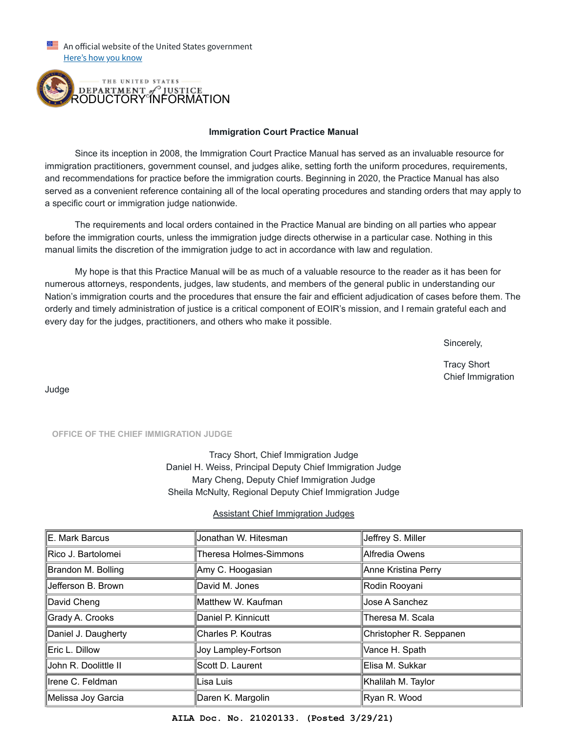An official website of the United States government Here's how you know



## **Immigration Court Practice Manual**

 Since its inception in 2008, the Immigration Court Practice Manual has served as an invaluable resource for immigration practitioners, government counsel, and judges alike, setting forth the uniform procedures, requirements, and recommendations for practice before the immigration courts. Beginning in 2020, the Practice Manual has also served as a convenient reference containing all of the local operating procedures and standing orders that may apply to a specific court or immigration judge nationwide.

 The requirements and local orders contained in the Practice Manual are binding on all parties who appear before the immigration courts, unless the immigration judge directs otherwise in a particular case. Nothing in this manual limits the discretion of the immigration judge to act in accordance with law and regulation.

 My hope is that this Practice Manual will be as much of a valuable resource to the reader as it has been for numerous attorneys, respondents, judges, law students, and members of the general public in understanding our Nation's immigration courts and the procedures that ensure the fair and efficient adjudication of cases before them. The orderly and timely administration of justice is a critical component of EOIR's mission, and I remain grateful each and every day for the judges, practitioners, and others who make it possible.

is a state of the state of the state of the state of the Sincerely, and the Sincerely,

 Tracy Short Chief Immigration

Judge

**OFFICE OF THE CHIEF IMMIGRATION JUDGE**

Tracy Short, Chief Immigration Judge Daniel H. Weiss, Principal Deputy Chief Immigration Judge Mary Cheng, Deputy Chief Immigration Judge Sheila McNulty, Regional Deputy Chief Immigration Judge

## Assistant Chief Immigration Judges

| ∥E. Mark Barcus      | Jonathan W. Hitesman          | ∥Jeffrey S. Miller      |
|----------------------|-------------------------------|-------------------------|
|                      |                               |                         |
| Rico J. Bartolomei   | <b>Theresa Holmes-Simmons</b> | ∥Alfredia Owens         |
| Brandon M. Bolling   | Amy C. Hoogasian              | ∥Anne Kristina Perry    |
| Jefferson B. Brown   | David M. Jones                | Rodin Rooyani           |
| ∥David Cheng         | Matthew W. Kaufman            | ∥Jose A Sanchez         |
| Grady A. Crooks      | Daniel P. Kinnicutt           | ∥Theresa M. Scala       |
| Daniel J. Daugherty  | Charles P. Koutras            | Christopher R. Seppanen |
| Eric L. Dillow       | Joy Lampley-Fortson           | Vance H. Spath          |
| John R. Doolittle II | Scott D. Laurent              | Elisa M. Sukkar         |
| ∥Irene C. Feldman    | Lisa Luis                     | ∥Khalilah M. Taylor     |
| ∥Melissa Joy Garcia  | Daren K. Margolin             | ∥Ryan R. Wood           |

**AILA Doc. No. 21020133. (Posted 3/29/21)**